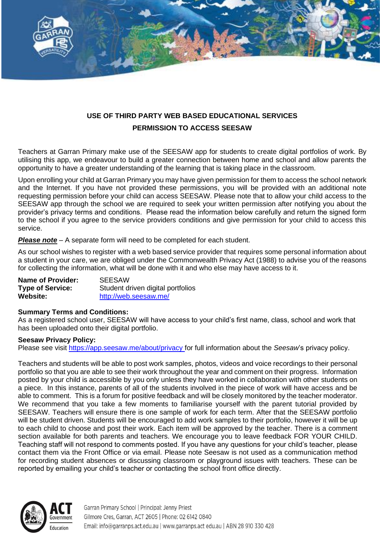

## **USE OF THIRD PARTY WEB BASED EDUCATIONAL SERVICES PERMISSION TO ACCESS SEESAW**

Teachers at Garran Primary make use of the SEESAW app for students to create digital portfolios of work. By utilising this app, we endeavour to build a greater connection between home and school and allow parents the opportunity to have a greater understanding of the learning that is taking place in the classroom.

Upon enrolling your child at Garran Primary you may have given permission for them to access the school network and the Internet. If you have not provided these permissions, you will be provided with an additional note requesting permission before your child can access SEESAW. Please note that to allow your child access to the SEESAW app through the school we are required to seek your written permission after notifying you about the provider's privacy terms and conditions. Please read the information below carefully and return the signed form to the school if you agree to the service providers conditions and give permission for your child to access this service.

*Please note* – A separate form will need to be completed for each student.

As our school wishes to register with a web based service provider that requires some personal information about a student in your care, we are obliged under the Commonwealth Privacy Act (1988) to advise you of the reasons for collecting the information, what will be done with it and who else may have access to it.

| <b>Name of Provider:</b> | <b>SEESAW</b>                     |
|--------------------------|-----------------------------------|
| <b>Type of Service:</b>  | Student driven digital portfolios |
| Website:                 | http://web.seesaw.me/             |

## **Summary Terms and Conditions:**

As a registered school user, SEESAW will have access to your child's first name, class, school and work that has been uploaded onto their digital portfolio.

## **Seesaw Privacy Policy:**

Please see visit<https://app.seesaw.me/about/privacy> for full information about the *Seesaw*'s privacy policy.

Teachers and students will be able to post work samples, photos, videos and voice recordings to their personal portfolio so that you are able to see their work throughout the year and comment on their progress. Information posted by your child is accessible by you only unless they have worked in collaboration with other students on a piece. In this instance, parents of all of the students involved in the piece of work will have access and be able to comment. This is a forum for positive feedback and will be closely monitored by the teacher moderator. We recommend that you take a few moments to familiarise yourself with the parent tutorial provided by SEESAW. Teachers will ensure there is one sample of work for each term. After that the SEESAW portfolio will be student driven. Students will be encouraged to add work samples to their portfolio, however it will be up to each child to choose and post their work. Each item will be approved by the teacher. There is a comment section available for both parents and teachers. We encourage you to leave feedback FOR YOUR CHILD. Teaching staff will not respond to comments posted. If you have any questions for your child's teacher, please contact them via the Front Office or via email. Please note Seesaw is not used as a communication method for recording student absences or discussing classroom or playground issues with teachers. These can be reported by emailing your child's teacher or contacting the school front office directly.